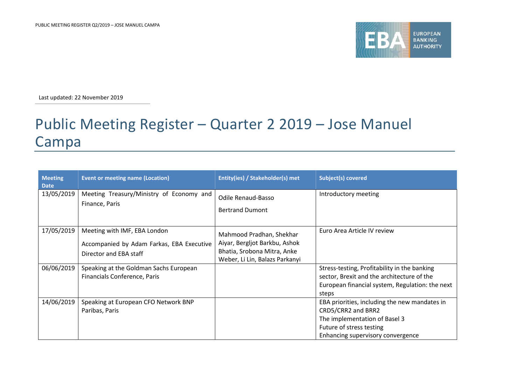

Last updated: 22 November 2019

## Public Meeting Register – Quarter 2 2019 – Jose Manuel Campa

| <b>Meeting</b><br><b>Date</b> | <b>Event or meeting name (Location)</b>                                                             | Entity(ies) / Stakeholder(s) met                                                                                           | Subject(s) covered                                                                                                                                                    |
|-------------------------------|-----------------------------------------------------------------------------------------------------|----------------------------------------------------------------------------------------------------------------------------|-----------------------------------------------------------------------------------------------------------------------------------------------------------------------|
| 13/05/2019                    | Meeting Treasury/Ministry of Economy and<br>Finance, Paris                                          | Odile Renaud-Basso<br><b>Bertrand Dumont</b>                                                                               | Introductory meeting                                                                                                                                                  |
| 17/05/2019                    | Meeting with IMF, EBA London<br>Accompanied by Adam Farkas, EBA Executive<br>Director and EBA staff | Mahmood Pradhan, Shekhar<br>Aiyar, Bergljot Barkbu, Ashok<br>Bhatia, Srobona Mitra, Anke<br>Weber, Li Lin, Balazs Parkanyi | Euro Area Article IV review                                                                                                                                           |
| 06/06/2019                    | Speaking at the Goldman Sachs European<br>Financials Conference, Paris                              |                                                                                                                            | Stress-testing, Profitability in the banking<br>sector, Brexit and the architecture of the<br>European financial system, Regulation: the next<br>steps                |
| 14/06/2019                    | Speaking at European CFO Network BNP<br>Paribas, Paris                                              |                                                                                                                            | EBA priorities, including the new mandates in<br>CRD5/CRR2 and BRR2<br>The implementation of Basel 3<br>Future of stress testing<br>Enhancing supervisory convergence |